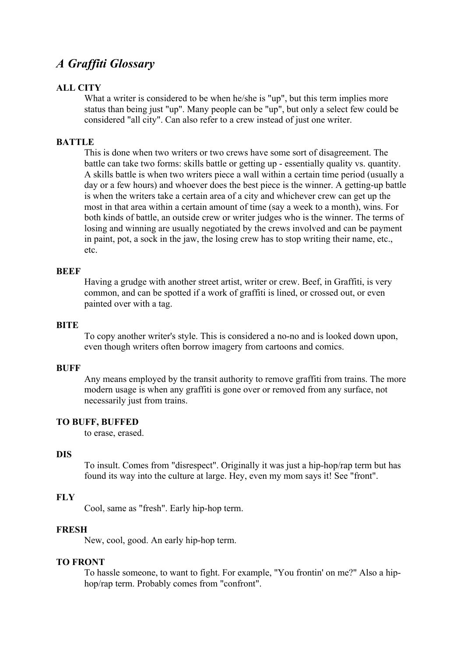# *A Graffiti Glossary*

# **ALL CITY**

What a writer is considered to be when he/she is "up", but this term implies more status than being just "up". Many people can be "up", but only a select few could be considered "all city". Can also refer to a crew instead of just one writer.

# **BATTLE**

This is done when two writers or two crews have some sort of disagreement. The battle can take two forms: skills battle or getting up - essentially quality vs. quantity. A skills battle is when two writers piece a wall within a certain time period (usually a day or a few hours) and whoever does the best piece is the winner. A getting-up battle is when the writers take a certain area of a city and whichever crew can get up the most in that area within a certain amount of time (say a week to a month), wins. For both kinds of battle, an outside crew or writer judges who is the winner. The terms of losing and winning are usually negotiated by the crews involved and can be payment in paint, pot, a sock in the jaw, the losing crew has to stop writing their name, etc., etc.

### **BEEF**

Having a grudge with another street artist, writer or crew. Beef, in Graffiti, is very common, and can be spotted if a work of graffiti is lined, or crossed out, or even painted over with a tag.

#### **BITE**

To copy another writer's style. This is considered a no-no and is looked down upon, even though writers often borrow imagery from cartoons and comics.

#### **BUFF**

Any means employed by the transit authority to remove graffiti from trains. The more modern usage is when any graffiti is gone over or removed from any surface, not necessarily just from trains.

### **TO BUFF, BUFFED**

to erase, erased.

#### **DIS**

To insult. Comes from "disrespect". Originally it was just a hip-hop/rap term but has found its way into the culture at large. Hey, even my mom says it! See "front".

## **FLY**

Cool, same as "fresh". Early hip-hop term.

# **FRESH**

New, cool, good. An early hip-hop term.

## **TO FRONT**

To hassle someone, to want to fight. For example, "You frontin' on me?" Also a hiphop/rap term. Probably comes from "confront".